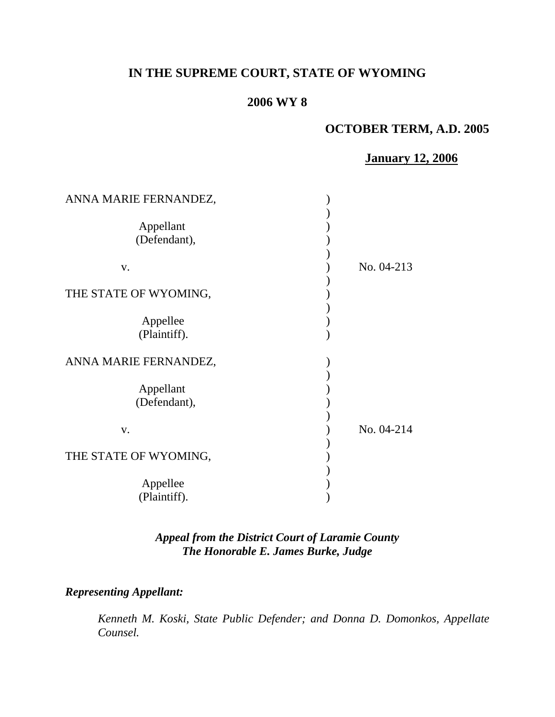# **IN THE SUPREME COURT, STATE OF WYOMING**

# **2006 WY 8**

# **OCTOBER TERM, A.D. 2005**

# **January 12, 2006**

| ANNA MARIE FERNANDEZ,     |            |
|---------------------------|------------|
| Appellant<br>(Defendant), |            |
| V.                        | No. 04-213 |
| THE STATE OF WYOMING,     |            |
| Appellee<br>(Plaintiff).  |            |
| ANNA MARIE FERNANDEZ,     |            |
| Appellant<br>(Defendant), |            |
| V.                        | No. 04-214 |
| THE STATE OF WYOMING,     |            |
| Appellee<br>(Plaintiff).  |            |

## *Appeal from the District Court of Laramie County The Honorable E. James Burke, Judge*

### *Representing Appellant:*

 *Kenneth M. Koski, State Public Defender; and Donna D. Domonkos, Appellate Counsel.*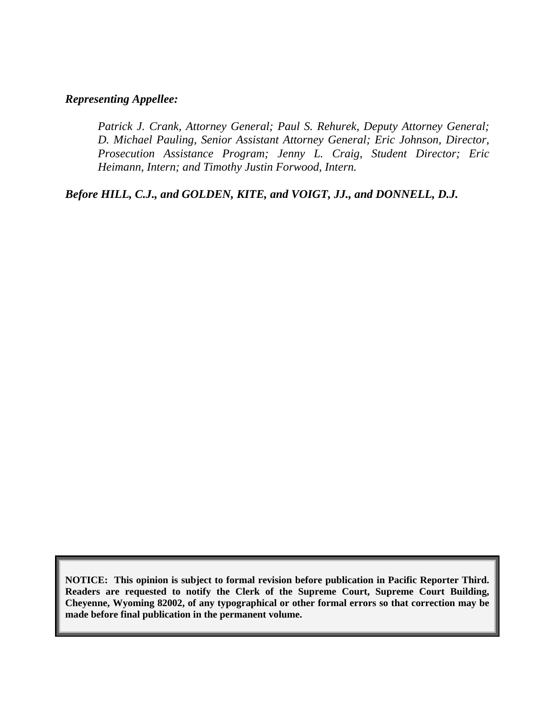#### *Representing Appellee:*

 *Patrick J. Crank, Attorney General; Paul S. Rehurek, Deputy Attorney General; D. Michael Pauling, Senior Assistant Attorney General; Eric Johnson, Director, Prosecution Assistance Program; Jenny L. Craig, Student Director; Eric Heimann, Intern; and Timothy Justin Forwood, Intern.* 

*Before HILL, C.J., and GOLDEN, KITE, and VOIGT, JJ., and DONNELL, D.J.* 

**NOTICE: This opinion is subject to formal revision before publication in Pacific Reporter Third. Readers are requested to notify the Clerk of the Supreme Court, Supreme Court Building, Cheyenne, Wyoming 82002, of any typographical or other formal errors so that correction may be made before final publication in the permanent volume.**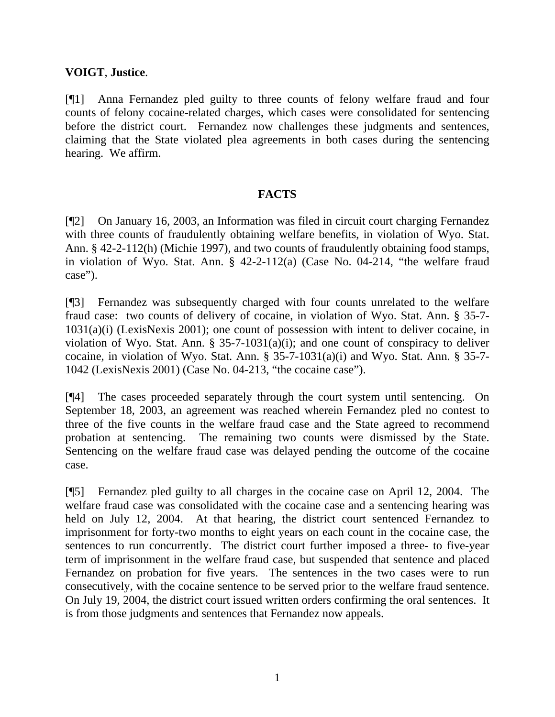### **VOIGT**, **Justice**.

[¶1] Anna Fernandez pled guilty to three counts of felony welfare fraud and four counts of felony cocaine-related charges, which cases were consolidated for sentencing before the district court. Fernandez now challenges these judgments and sentences, claiming that the State violated plea agreements in both cases during the sentencing hearing. We affirm.

### **FACTS**

[¶2] On January 16, 2003, an Information was filed in circuit court charging Fernandez with three counts of fraudulently obtaining welfare benefits, in violation of Wyo. Stat. Ann. § 42-2-112(h) (Michie 1997), and two counts of fraudulently obtaining food stamps, in violation of Wyo. Stat. Ann. § 42-2-112(a) (Case No. 04-214, "the welfare fraud case").

[¶3] Fernandez was subsequently charged with four counts unrelated to the welfare fraud case: two counts of delivery of cocaine, in violation of Wyo. Stat. Ann. § 35-7- 1031(a)(i) (LexisNexis 2001); one count of possession with intent to deliver cocaine, in violation of Wyo. Stat. Ann.  $\S$  35-7-1031(a)(i); and one count of conspiracy to deliver cocaine, in violation of Wyo. Stat. Ann. § 35-7-1031(a)(i) and Wyo. Stat. Ann. § 35-7- 1042 (LexisNexis 2001) (Case No. 04-213, "the cocaine case").

[¶4] The cases proceeded separately through the court system until sentencing. On September 18, 2003, an agreement was reached wherein Fernandez pled no contest to three of the five counts in the welfare fraud case and the State agreed to recommend probation at sentencing. The remaining two counts were dismissed by the State. Sentencing on the welfare fraud case was delayed pending the outcome of the cocaine case.

[¶5] Fernandez pled guilty to all charges in the cocaine case on April 12, 2004. The welfare fraud case was consolidated with the cocaine case and a sentencing hearing was held on July 12, 2004. At that hearing, the district court sentenced Fernandez to imprisonment for forty-two months to eight years on each count in the cocaine case, the sentences to run concurrently. The district court further imposed a three- to five-year term of imprisonment in the welfare fraud case, but suspended that sentence and placed Fernandez on probation for five years. The sentences in the two cases were to run consecutively, with the cocaine sentence to be served prior to the welfare fraud sentence. On July 19, 2004, the district court issued written orders confirming the oral sentences. It is from those judgments and sentences that Fernandez now appeals.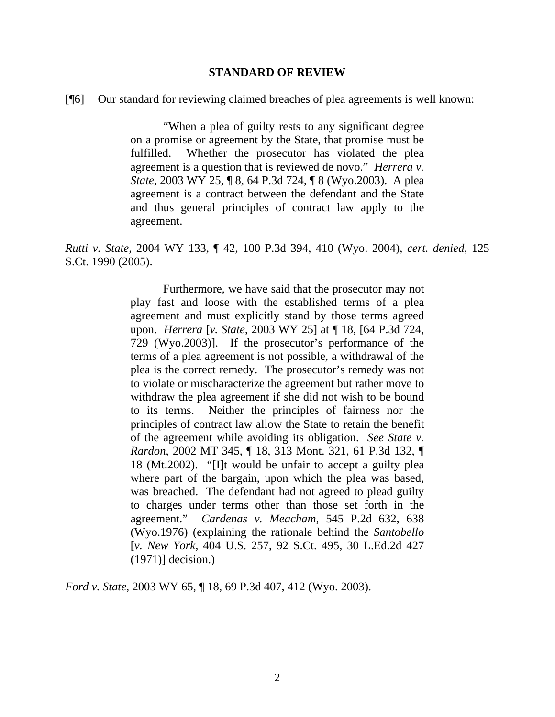#### **STANDARD OF REVIEW**

[¶6] Our standard for reviewing claimed breaches of plea agreements is well known:

 "When a plea of guilty rests to any significant degree on a promise or agreement by the State, that promise must be fulfilled. Whether the prosecutor has violated the plea agreement is a question that is reviewed de novo." *Herrera v. State*, 2003 WY 25, ¶ 8, 64 P.3d 724, ¶ 8 (Wyo.2003). A plea agreement is a contract between the defendant and the State and thus general principles of contract law apply to the agreement.

*Rutti v. State*, 2004 WY 133, ¶ 42, 100 P.3d 394, 410 (Wyo. 2004), *cert. denied*, 125 S.Ct. 1990 (2005).

> Furthermore, we have said that the prosecutor may not play fast and loose with the established terms of a plea agreement and must explicitly stand by those terms agreed upon. *Herrera* [*v. State*, 2003 WY 25] at ¶ 18, [64 P.3d 724, 729 (Wyo.2003)]. If the prosecutor's performance of the terms of a plea agreement is not possible, a withdrawal of the plea is the correct remedy. The prosecutor's remedy was not to violate or mischaracterize the agreement but rather move to withdraw the plea agreement if she did not wish to be bound to its terms. Neither the principles of fairness nor the principles of contract law allow the State to retain the benefit of the agreement while avoiding its obligation. *See State v. Rardon*, 2002 MT 345, ¶ 18, 313 Mont. 321, 61 P.3d 132, ¶ 18 (Mt.2002). "[I]t would be unfair to accept a guilty plea where part of the bargain, upon which the plea was based, was breached. The defendant had not agreed to plead guilty to charges under terms other than those set forth in the agreement." *Cardenas v. Meacham*, 545 P.2d 632, 638 (Wyo.1976) (explaining the rationale behind the *Santobello*  [*v. New York,* 404 U.S. 257, 92 S.Ct. 495, 30 L.Ed.2d 427 (1971)] decision.)

*Ford v. State*, 2003 WY 65, ¶ 18, 69 P.3d 407, 412 (Wyo. 2003).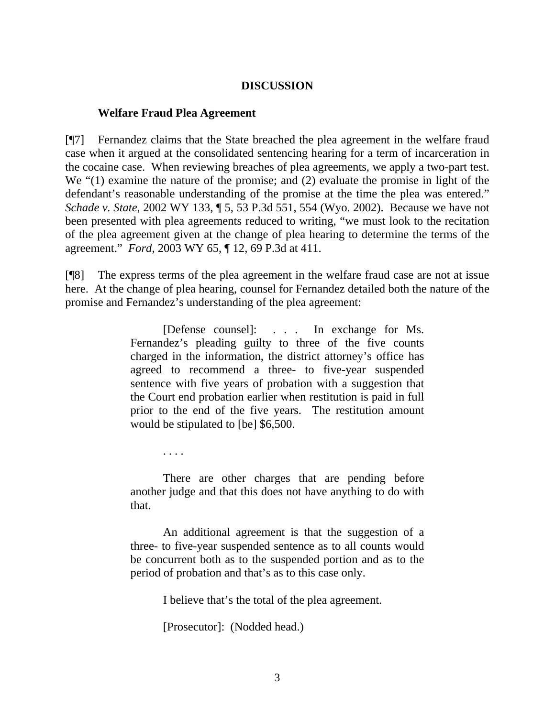#### **DISCUSSION**

#### **Welfare Fraud Plea Agreement**

. . . .

[¶7] Fernandez claims that the State breached the plea agreement in the welfare fraud case when it argued at the consolidated sentencing hearing for a term of incarceration in the cocaine case. When reviewing breaches of plea agreements, we apply a two-part test. We "(1) examine the nature of the promise; and (2) evaluate the promise in light of the defendant's reasonable understanding of the promise at the time the plea was entered." *Schade v. State*, 2002 WY 133, ¶ 5, 53 P.3d 551, 554 (Wyo. 2002). Because we have not been presented with plea agreements reduced to writing, "we must look to the recitation of the plea agreement given at the change of plea hearing to determine the terms of the agreement." *Ford*, 2003 WY 65, ¶ 12, 69 P.3d at 411.

[¶8] The express terms of the plea agreement in the welfare fraud case are not at issue here. At the change of plea hearing, counsel for Fernandez detailed both the nature of the promise and Fernandez's understanding of the plea agreement:

> [Defense counsel]: . . . In exchange for Ms. Fernandez's pleading guilty to three of the five counts charged in the information, the district attorney's office has agreed to recommend a three- to five-year suspended sentence with five years of probation with a suggestion that the Court end probation earlier when restitution is paid in full prior to the end of the five years. The restitution amount would be stipulated to [be] \$6,500.

> There are other charges that are pending before another judge and that this does not have anything to do with that.

> An additional agreement is that the suggestion of a three- to five-year suspended sentence as to all counts would be concurrent both as to the suspended portion and as to the period of probation and that's as to this case only.

> > I believe that's the total of the plea agreement.

[Prosecutor]: (Nodded head.)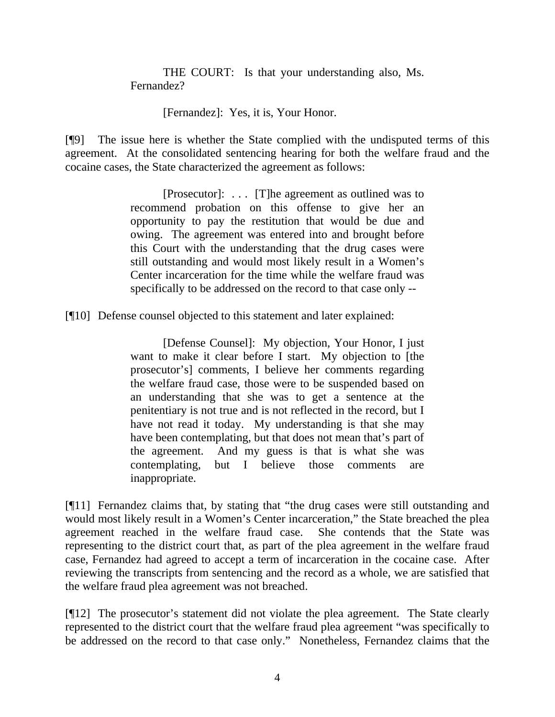THE COURT: Is that your understanding also, Ms. Fernandez?

[Fernandez]: Yes, it is, Your Honor.

[¶9] The issue here is whether the State complied with the undisputed terms of this agreement. At the consolidated sentencing hearing for both the welfare fraud and the cocaine cases, the State characterized the agreement as follows:

> [Prosecutor]: . . . [T]he agreement as outlined was to recommend probation on this offense to give her an opportunity to pay the restitution that would be due and owing. The agreement was entered into and brought before this Court with the understanding that the drug cases were still outstanding and would most likely result in a Women's Center incarceration for the time while the welfare fraud was specifically to be addressed on the record to that case only --

[¶10] Defense counsel objected to this statement and later explained:

 [Defense Counsel]: My objection, Your Honor, I just want to make it clear before I start. My objection to [the prosecutor's] comments, I believe her comments regarding the welfare fraud case, those were to be suspended based on an understanding that she was to get a sentence at the penitentiary is not true and is not reflected in the record, but I have not read it today. My understanding is that she may have been contemplating, but that does not mean that's part of the agreement. And my guess is that is what she was contemplating, but I believe those comments are inappropriate.

[¶11] Fernandez claims that, by stating that "the drug cases were still outstanding and would most likely result in a Women's Center incarceration," the State breached the plea agreement reached in the welfare fraud case. She contends that the State was representing to the district court that, as part of the plea agreement in the welfare fraud case, Fernandez had agreed to accept a term of incarceration in the cocaine case. After reviewing the transcripts from sentencing and the record as a whole, we are satisfied that the welfare fraud plea agreement was not breached.

[¶12] The prosecutor's statement did not violate the plea agreement. The State clearly represented to the district court that the welfare fraud plea agreement "was specifically to be addressed on the record to that case only." Nonetheless, Fernandez claims that the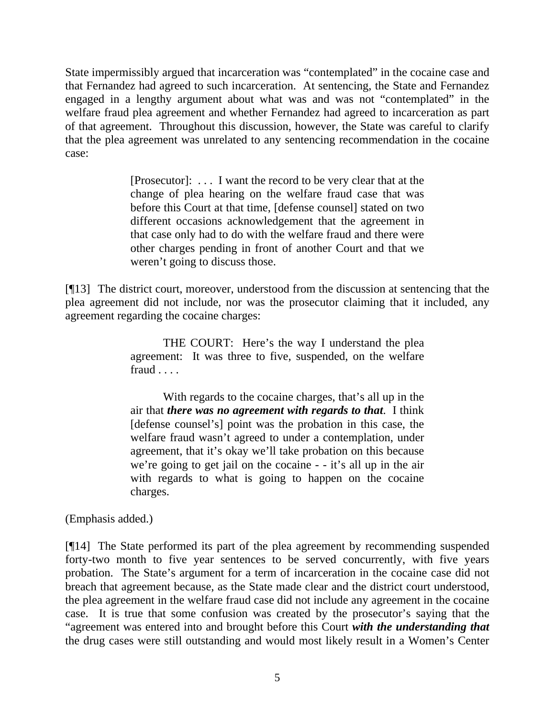State impermissibly argued that incarceration was "contemplated" in the cocaine case and that Fernandez had agreed to such incarceration. At sentencing, the State and Fernandez engaged in a lengthy argument about what was and was not "contemplated" in the welfare fraud plea agreement and whether Fernandez had agreed to incarceration as part of that agreement. Throughout this discussion, however, the State was careful to clarify that the plea agreement was unrelated to any sentencing recommendation in the cocaine case:

> [Prosecutor]: . . . I want the record to be very clear that at the change of plea hearing on the welfare fraud case that was before this Court at that time, [defense counsel] stated on two different occasions acknowledgement that the agreement in that case only had to do with the welfare fraud and there were other charges pending in front of another Court and that we weren't going to discuss those.

[¶13] The district court, moreover, understood from the discussion at sentencing that the plea agreement did not include, nor was the prosecutor claiming that it included, any agreement regarding the cocaine charges:

> THE COURT: Here's the way I understand the plea agreement: It was three to five, suspended, on the welfare fraud . . . .

> With regards to the cocaine charges, that's all up in the air that *there was no agreement with regards to that*. I think [defense counsel's] point was the probation in this case, the welfare fraud wasn't agreed to under a contemplation, under agreement, that it's okay we'll take probation on this because we're going to get jail on the cocaine - - it's all up in the air with regards to what is going to happen on the cocaine charges.

(Emphasis added.)

[¶14] The State performed its part of the plea agreement by recommending suspended forty-two month to five year sentences to be served concurrently, with five years probation. The State's argument for a term of incarceration in the cocaine case did not breach that agreement because, as the State made clear and the district court understood, the plea agreement in the welfare fraud case did not include any agreement in the cocaine case. It is true that some confusion was created by the prosecutor's saying that the "agreement was entered into and brought before this Court *with the understanding that* the drug cases were still outstanding and would most likely result in a Women's Center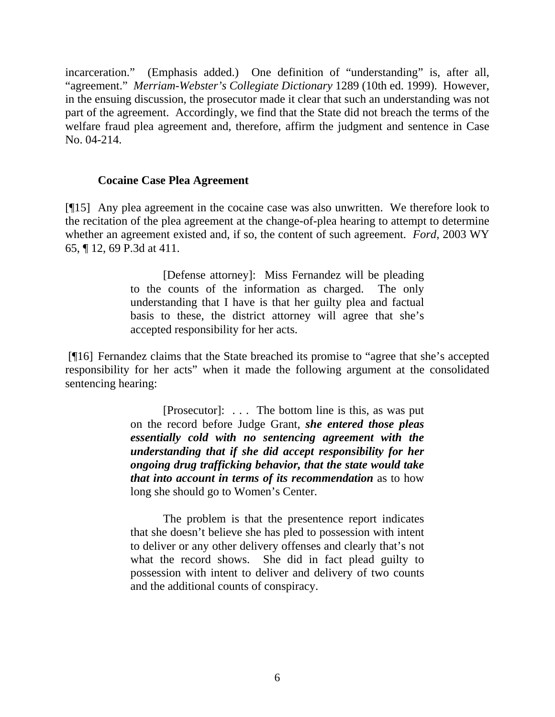incarceration." (Emphasis added.) One definition of "understanding" is, after all, "agreement." *Merriam-Webster's Collegiate Dictionary* 1289 (10th ed. 1999). However, in the ensuing discussion, the prosecutor made it clear that such an understanding was not part of the agreement. Accordingly, we find that the State did not breach the terms of the welfare fraud plea agreement and, therefore, affirm the judgment and sentence in Case No. 04-214.

#### **Cocaine Case Plea Agreement**

[¶15] Any plea agreement in the cocaine case was also unwritten. We therefore look to the recitation of the plea agreement at the change-of-plea hearing to attempt to determine whether an agreement existed and, if so, the content of such agreement. *Ford*, 2003 WY 65, ¶ 12, 69 P.3d at 411.

> [Defense attorney]: Miss Fernandez will be pleading to the counts of the information as charged. The only understanding that I have is that her guilty plea and factual basis to these, the district attorney will agree that she's accepted responsibility for her acts.

 [¶16] Fernandez claims that the State breached its promise to "agree that she's accepted responsibility for her acts" when it made the following argument at the consolidated sentencing hearing:

> [Prosecutor]: . . . The bottom line is this, as was put on the record before Judge Grant, *she entered those pleas essentially cold with no sentencing agreement with the understanding that if she did accept responsibility for her ongoing drug trafficking behavior, that the state would take that into account in terms of its recommendation* as to how long she should go to Women's Center.

> The problem is that the presentence report indicates that she doesn't believe she has pled to possession with intent to deliver or any other delivery offenses and clearly that's not what the record shows. She did in fact plead guilty to possession with intent to deliver and delivery of two counts and the additional counts of conspiracy.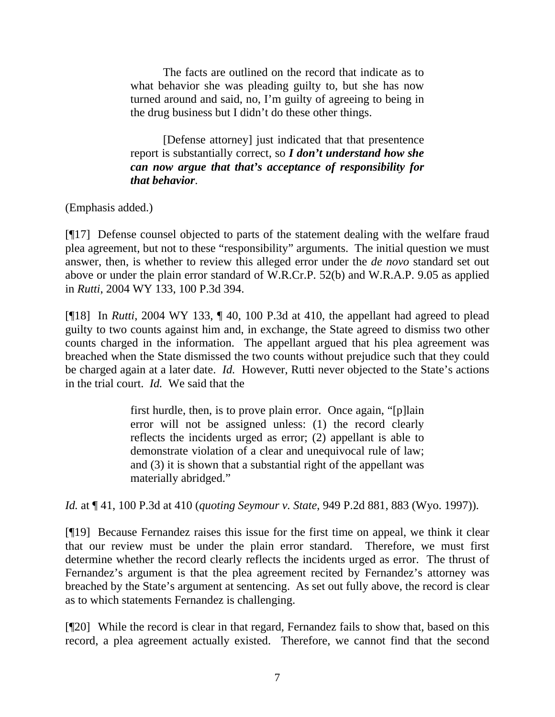The facts are outlined on the record that indicate as to what behavior she was pleading guilty to, but she has now turned around and said, no, I'm guilty of agreeing to being in the drug business but I didn't do these other things.

 [Defense attorney] just indicated that that presentence report is substantially correct, so *I don't understand how she can now argue that that's acceptance of responsibility for that behavior*.

(Emphasis added.)

[¶17] Defense counsel objected to parts of the statement dealing with the welfare fraud plea agreement, but not to these "responsibility" arguments. The initial question we must answer, then, is whether to review this alleged error under the *de novo* standard set out above or under the plain error standard of W.R.Cr.P. 52(b) and W.R.A.P. 9.05 as applied in *Rutti*, 2004 WY 133, 100 P.3d 394.

[¶18] In *Rutti*, 2004 WY 133, ¶ 40, 100 P.3d at 410, the appellant had agreed to plead guilty to two counts against him and, in exchange, the State agreed to dismiss two other counts charged in the information. The appellant argued that his plea agreement was breached when the State dismissed the two counts without prejudice such that they could be charged again at a later date. *Id.* However, Rutti never objected to the State's actions in the trial court. *Id.* We said that the

> first hurdle, then, is to prove plain error. Once again, "[p]lain error will not be assigned unless: (1) the record clearly reflects the incidents urged as error; (2) appellant is able to demonstrate violation of a clear and unequivocal rule of law; and (3) it is shown that a substantial right of the appellant was materially abridged."

*Id.* at ¶ 41, 100 P.3d at 410 (*quoting Seymour v. State*, 949 P.2d 881, 883 (Wyo. 1997)).

[¶19] Because Fernandez raises this issue for the first time on appeal, we think it clear that our review must be under the plain error standard. Therefore, we must first determine whether the record clearly reflects the incidents urged as error. The thrust of Fernandez's argument is that the plea agreement recited by Fernandez's attorney was breached by the State's argument at sentencing. As set out fully above, the record is clear as to which statements Fernandez is challenging.

[¶20] While the record is clear in that regard, Fernandez fails to show that, based on this record, a plea agreement actually existed. Therefore, we cannot find that the second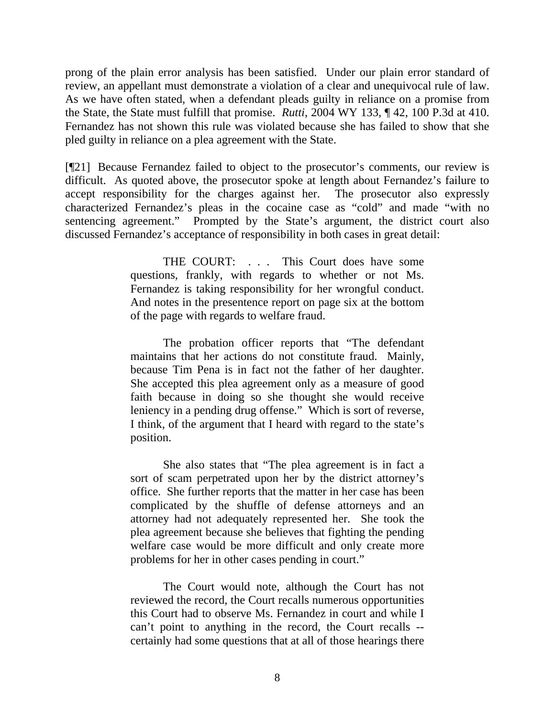prong of the plain error analysis has been satisfied. Under our plain error standard of review, an appellant must demonstrate a violation of a clear and unequivocal rule of law. As we have often stated, when a defendant pleads guilty in reliance on a promise from the State, the State must fulfill that promise. *Rutti*, 2004 WY 133, ¶ 42, 100 P.3d at 410. Fernandez has not shown this rule was violated because she has failed to show that she pled guilty in reliance on a plea agreement with the State.

[¶21] Because Fernandez failed to object to the prosecutor's comments, our review is difficult. As quoted above, the prosecutor spoke at length about Fernandez's failure to accept responsibility for the charges against her. The prosecutor also expressly characterized Fernandez's pleas in the cocaine case as "cold" and made "with no sentencing agreement." Prompted by the State's argument, the district court also discussed Fernandez's acceptance of responsibility in both cases in great detail:

> THE COURT: . . . This Court does have some questions, frankly, with regards to whether or not Ms. Fernandez is taking responsibility for her wrongful conduct. And notes in the presentence report on page six at the bottom of the page with regards to welfare fraud.

> The probation officer reports that "The defendant maintains that her actions do not constitute fraud. Mainly, because Tim Pena is in fact not the father of her daughter. She accepted this plea agreement only as a measure of good faith because in doing so she thought she would receive leniency in a pending drug offense." Which is sort of reverse, I think, of the argument that I heard with regard to the state's position.

> She also states that "The plea agreement is in fact a sort of scam perpetrated upon her by the district attorney's office. She further reports that the matter in her case has been complicated by the shuffle of defense attorneys and an attorney had not adequately represented her. She took the plea agreement because she believes that fighting the pending welfare case would be more difficult and only create more problems for her in other cases pending in court."

> The Court would note, although the Court has not reviewed the record, the Court recalls numerous opportunities this Court had to observe Ms. Fernandez in court and while I can't point to anything in the record, the Court recalls - certainly had some questions that at all of those hearings there